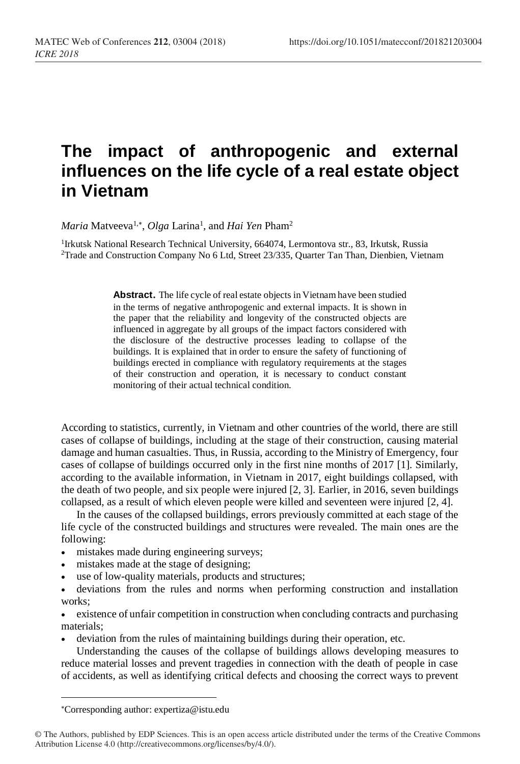## **The impact of anthropogenic and external influences on the life cycle of a real estate object in Vietnam**

*Maria* Matveeva<sup>1,\*</sup>, *Olga* Larina<sup>1</sup>, and *Hai Yen* Pham<sup>2</sup>

<sup>1</sup>Irkutsk National Research Technical University, 664074, Lermontova str., 83, Irkutsk, Russia <sup>2</sup>Trade and Сonstruction Сompany No 6 Ltd, Street 23/335, Quarter Tan Than, Dienbien, Vietnam

> **Abstract**. The life cycle of real estate objects in Vietnam have been studied in the terms of negative anthropogenic and external impacts. It is shown in the paper that the reliability and longevity of the constructed objects are influenced in aggregate by all groups of the impact factors considered with the disclosure of the destructive processes leading to collapse of the buildings. It is explained that in order to ensure the safety of functioning of buildings erected in compliance with regulatory requirements at the stages of their construction and operation, it is necessary to conduct constant monitoring of their actual technical condition.

According to statistics, currently, in Vietnam and other countries of the world, there are still cases of collapse of buildings, including at the stage of their construction, causing material damage and human casualties. Thus, in Russia, according to the Ministry of Emergency, four cases of collapse of buildings occurred only in the first nine months of 2017 [1]. Similarly, according to the available information, in Vietnam in 2017, eight buildings collapsed, with the death of two people, and six people were injured [2, 3]. Earlier, in 2016, seven buildings collapsed, as a result of which eleven people were killed and seventeen were injured [2, 4].

In the causes of the collapsed buildings, errors previously committed at each stage of the life cycle of the constructed buildings and structures were revealed. The main ones are the following:

- mistakes made during engineering surveys;
- mistakes made at the stage of designing;
- use of low-quality materials, products and structures;

• deviations from the rules and norms when performing construction and installation works;

• existence of unfair competition in construction when concluding contracts and purchasing materials;

deviation from the rules of maintaining buildings during their operation, etc.

Understanding the causes of the collapse of buildings allows developing measures to reduce material losses and prevent tragedies in connection with the death of people in case of accidents, as well as identifying critical defects and choosing the correct ways to prevent

 $\overline{\phantom{a}}$ 

Corresponding author: expertiza@istu.edu

<sup>©</sup> The Authors, published by EDP Sciences. This is an open access article distributed under the terms of the Creative Commons Attribution License 4.0 (http://creativecommons.org/licenses/by/4.0/).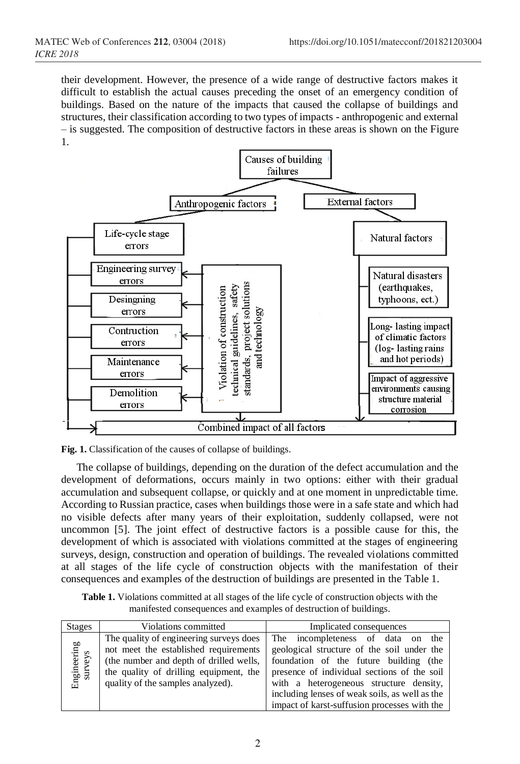their development. However, the presence of a wide range of destructive factors makes it difficult to establish the actual causes preceding the onset of an emergency condition of buildings. Based on the nature of the impacts that caused the collapse of buildings and structures, their classification according to two types of impacts - anthropogenic and external – is suggested. The composition of destructive factors in these areas is shown on the Figure 1.



**Fig. 1.** Classification of the causes of collapse of buildings.

The collapse of buildings, depending on the duration of the defect accumulation and the development of deformations, occurs mainly in two options: either with their gradual accumulation and subsequent collapse, or quickly and at one moment in unpredictable time. According to Russian practice, cases when buildings those were in a safe state and which had no visible defects after many years of their exploitation, suddenly collapsed, were not uncommon [5]. The joint effect of destructive factors is a possible cause for this, the development of which is associated with violations committed at the stages of engineering surveys, design, construction and operation of buildings. The revealed violations committed at all stages of the life cycle of construction objects with the manifestation of their consequences and examples of the destruction of buildings are presented in the Table 1.

**Table 1.** Violations committed at all stages of the life cycle of construction objects with the manifested consequences and examples of destruction of buildings.

| <b>Stages</b>          | Violations committed                                                                                                                                                                                       | Implicated consequences                                                                                                                                                                                                                                                                                               |
|------------------------|------------------------------------------------------------------------------------------------------------------------------------------------------------------------------------------------------------|-----------------------------------------------------------------------------------------------------------------------------------------------------------------------------------------------------------------------------------------------------------------------------------------------------------------------|
| Engineering<br>surveys | The quality of engineering surveys does<br>not meet the established requirements<br>(the number and depth of drilled wells,<br>the quality of drilling equipment, the<br>quality of the samples analyzed). | The incompleteness of data on the<br>geological structure of the soil under the<br>foundation of the future building (the<br>presence of individual sections of the soil<br>with a heterogeneous structure density,<br>including lenses of weak soils, as well as the<br>impact of karst-suffusion processes with the |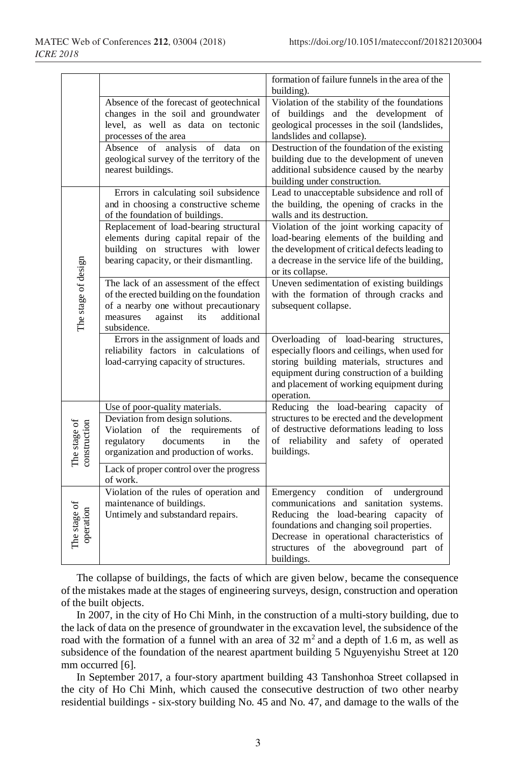|                              |                                                                            | formation of failure funnels in the area of the                                             |
|------------------------------|----------------------------------------------------------------------------|---------------------------------------------------------------------------------------------|
|                              | Absence of the forecast of geotechnical                                    | building).<br>Violation of the stability of the foundations                                 |
|                              | changes in the soil and groundwater                                        | of buildings and the development of                                                         |
|                              | level, as well as data on tectonic                                         | geological processes in the soil (landslides,                                               |
|                              | processes of the area                                                      | landslides and collapse).                                                                   |
|                              | Absence of analysis<br>of<br>data<br>on                                    | Destruction of the foundation of the existing                                               |
|                              | geological survey of the territory of the<br>nearest buildings.            | building due to the development of uneven<br>additional subsidence caused by the nearby     |
|                              |                                                                            | building under construction.                                                                |
|                              | Errors in calculating soil subsidence                                      | Lead to unacceptable subsidence and roll of                                                 |
|                              | and in choosing a constructive scheme                                      | the building, the opening of cracks in the                                                  |
|                              | of the foundation of buildings.                                            | walls and its destruction.                                                                  |
|                              | Replacement of load-bearing structural                                     | Violation of the joint working capacity of                                                  |
|                              | elements during capital repair of the<br>building on structures with lower | load-bearing elements of the building and<br>the development of critical defects leading to |
|                              | bearing capacity, or their dismantling.                                    | a decrease in the service life of the building,                                             |
|                              |                                                                            | or its collapse.                                                                            |
|                              | The lack of an assessment of the effect                                    | Uneven sedimentation of existing buildings                                                  |
|                              | of the erected building on the foundation                                  | with the formation of through cracks and                                                    |
| The stage of design          | of a nearby one without precautionary                                      | subsequent collapse.                                                                        |
|                              | measures<br>against<br>additional<br>its<br>subsidence.                    |                                                                                             |
|                              | Errors in the assignment of loads and                                      | Overloading of load-bearing<br>structures,                                                  |
|                              | reliability factors in calculations of                                     | especially floors and ceilings, when used for                                               |
|                              | load-carrying capacity of structures.                                      | storing building materials, structures and                                                  |
|                              |                                                                            | equipment during construction of a building                                                 |
|                              |                                                                            | and placement of working equipment during<br>operation.                                     |
|                              | Use of poor-quality materials.                                             | Reducing the load-bearing capacity of                                                       |
| The stage of<br>construction | Deviation from design solutions.                                           | structures to be erected and the development                                                |
|                              | Violation of the requirements<br>of                                        | of destructive deformations leading to loss                                                 |
|                              | regulatory<br>documents<br>in<br>the                                       | of reliability and safety of operated                                                       |
|                              | organization and production of works.                                      | buildings.                                                                                  |
|                              | Lack of proper control over the progress                                   |                                                                                             |
|                              | of work.                                                                   |                                                                                             |
| The stage of<br>operation    | Violation of the rules of operation and                                    | condition<br>of<br>underground<br>Emergency                                                 |
|                              | maintenance of buildings.<br>Untimely and substandard repairs.             | communications and sanitation systems.<br>Reducing the load-bearing capacity of             |
|                              |                                                                            | foundations and changing soil properties.                                                   |
|                              |                                                                            | Decrease in operational characteristics of                                                  |
|                              |                                                                            | structures of the aboveground part of                                                       |
|                              |                                                                            | buildings.                                                                                  |

The collapse of buildings, the facts of which are given below, became the consequence of the mistakes made at the stages of engineering surveys, design, construction and operation of the built objects.

In 2007, in the city of Ho Chi Minh, in the construction of a multi-story building, due to the lack of data on the presence of groundwater in the excavation level, the subsidence of the road with the formation of a funnel with an area of  $32 \text{ m}^2$  and a depth of 1.6 m, as well as subsidence of the foundation of the nearest apartment building 5 Nguyenyishu Street at 120 mm occurred [6].

In September 2017, a four-story apartment building 43 Tanshonhoa Street collapsed in the city of Ho Chi Minh, which caused the consecutive destruction of two other nearby residential buildings - six-story building No. 45 and No. 47, and damage to the walls of the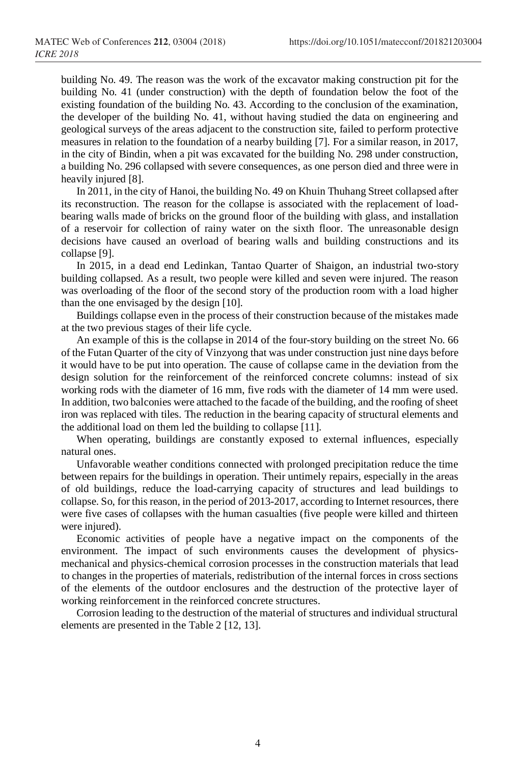building No. 49. The reason was the work of the excavator making construction pit for the building No. 41 (under construction) with the depth of foundation below the foot of the existing foundation of the building No. 43. According to the conclusion of the examination, the developer of the building No. 41, without having studied the data on engineering and geological surveys of the areas adjacent to the construction site, failed to perform protective measures in relation to the foundation of a nearby building [7]. For a similar reason, in 2017, in the city of Bindin, when a pit was excavated for the building No. 298 under construction, a building No. 296 collapsed with severe consequences, as one person died and three were in heavily injured [8].

In 2011, in the city of Hanoi, the building No. 49 on Khuin Thuhang Street collapsed after its reconstruction. The reason for the collapse is associated with the replacement of loadbearing walls made of bricks on the ground floor of the building with glass, and installation of a reservoir for collection of rainy water on the sixth floor. The unreasonable design decisions have caused an overload of bearing walls and building constructions and its collapse [9].

In 2015, in a dead end Ledinkan, Tantao Quarter of Shaigon, an industrial two-story building collapsed. As a result, two people were killed and seven were injured. The reason was overloading of the floor of the second story of the production room with a load higher than the one envisaged by the design [10].

Buildings collapse even in the process of their construction because of the mistakes made at the two previous stages of their life cycle.

An example of this is the collapse in 2014 of the four-story building on the street No. 66 of the Futan Quarter of the city of Vinzyong that was under construction just nine days before it would have to be put into operation. The cause of collapse came in the deviation from the design solution for the reinforcement of the reinforced concrete columns: instead of six working rods with the diameter of 16 mm, five rods with the diameter of 14 mm were used. In addition, two balconies were attached to the facade of the building, and the roofing of sheet iron was replaced with tiles. The reduction in the bearing capacity of structural elements and the additional load on them led the building to collapse [11].

When operating, buildings are constantly exposed to external influences, especially natural ones.

Unfavorable weather conditions connected with prolonged precipitation reduce the time between repairs for the buildings in operation. Their untimely repairs, especially in the areas of old buildings, reduce the load-carrying capacity of structures and lead buildings to collapse. So, for this reason, in the period of 2013-2017, according to Internet resources, there were five cases of collapses with the human casualties (five people were killed and thirteen were injured).

Economic activities of people have a negative impact on the components of the environment. The impact of such environments causes the development of physicsmechanical and physics-chemical corrosion processes in the construction materials that lead to changes in the properties of materials, redistribution of the internal forces in cross sections of the elements of the outdoor enclosures and the destruction of the protective layer of working reinforcement in the reinforced concrete structures.

Corrosion leading to the destruction of the material of structures and individual structural elements are presented in the Table 2 [12, 13].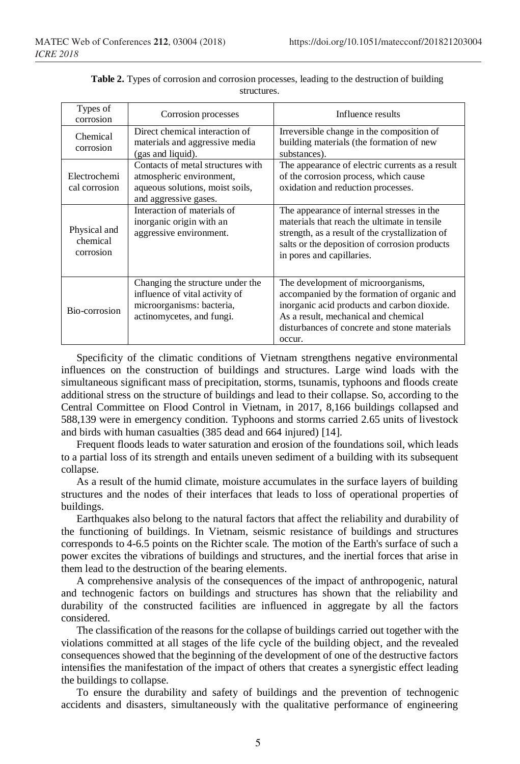| Types of<br>corrosion                 | Corrosion processes                                                                                                          | Influence results                                                                                                                                                                                                                  |
|---------------------------------------|------------------------------------------------------------------------------------------------------------------------------|------------------------------------------------------------------------------------------------------------------------------------------------------------------------------------------------------------------------------------|
| Chemical<br>corrosion                 | Direct chemical interaction of<br>materials and aggressive media<br>(gas and liquid).                                        | Irreversible change in the composition of<br>building materials (the formation of new<br>substances).                                                                                                                              |
| Electrochemi<br>cal corrosion         | Contacts of metal structures with<br>atmospheric environment,<br>aqueous solutions, moist soils,<br>and aggressive gases.    | The appearance of electric currents as a result<br>of the corrosion process, which cause<br>oxidation and reduction processes.                                                                                                     |
| Physical and<br>chemical<br>corrosion | Interaction of materials of<br>inorganic origin with an<br>aggressive environment.                                           | The appearance of internal stresses in the<br>materials that reach the ultimate in tensile<br>strength, as a result of the crystallization of<br>salts or the deposition of corrosion products<br>in pores and capillaries.        |
| Bio-corrosion                         | Changing the structure under the<br>influence of vital activity of<br>microorganisms: bacteria,<br>actinomycetes, and fungi. | The development of microorganisms,<br>accompanied by the formation of organic and<br>inorganic acid products and carbon dioxide.<br>As a result, mechanical and chemical<br>disturbances of concrete and stone materials<br>occur. |

**Table 2.** Types of corrosion and corrosion processes, leading to the destruction of building structures.

Specificity of the climatic conditions of Vietnam strengthens negative environmental influences on the construction of buildings and structures. Large wind loads with the simultaneous significant mass of precipitation, storms, tsunamis, typhoons and floods create additional stress on the structure of buildings and lead to their collapse. So, according to the Central Committee on Flood Control in Vietnam, in 2017, 8,166 buildings collapsed and 588,139 were in emergency condition. Typhoons and storms carried 2.65 units of livestock and birds with human casualties (385 dead and 664 injured) [14].

Frequent floods leads to water saturation and erosion of the foundations soil, which leads to a partial loss of its strength and entails uneven sediment of a building with its subsequent collapse.

As a result of the humid climate, moisture accumulates in the surface layers of building structures and the nodes of their interfaces that leads to loss of operational properties of buildings.

Earthquakes also belong to the natural factors that affect the reliability and durability of the functioning of buildings. In Vietnam, seismic resistance of buildings and structures corresponds to 4-6.5 points on the Richter scale. The motion of the Earth's surface of such a power excites the vibrations of buildings and structures, and the inertial forces that arise in them lead to the destruction of the bearing elements.

A comprehensive analysis of the consequences of the impact of anthropogenic, natural and technogenic factors on buildings and structures has shown that the reliability and durability of the constructed facilities are influenced in aggregate by all the factors considered.

The classification of the reasons for the collapse of buildings carried out together with the violations committed at all stages of the life cycle of the building object, and the revealed consequences showed that the beginning of the development of one of the destructive factors intensifies the manifestation of the impact of others that creates a synergistic effect leading the buildings to collapse.

To ensure the durability and safety of buildings and the prevention of technogenic accidents and disasters, simultaneously with the qualitative performance of engineering